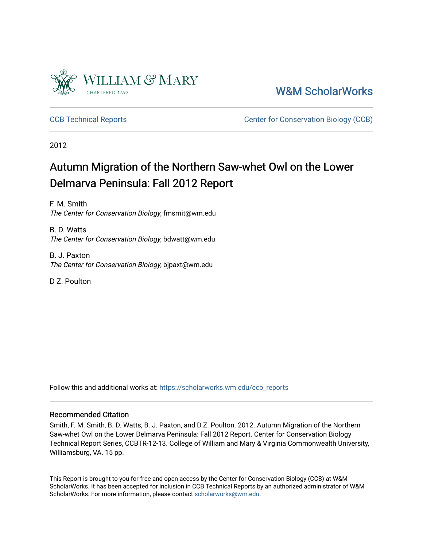

[W&M ScholarWorks](https://scholarworks.wm.edu/) 

[CCB Technical Reports](https://scholarworks.wm.edu/ccb_reports) [Center for Conservation Biology \(CCB\)](https://scholarworks.wm.edu/ccb) 

2012

# Autumn Migration of the Northern Saw-whet Owl on the Lower Delmarva Peninsula: Fall 2012 Report

F. M. Smith The Center for Conservation Biology, fmsmit@wm.edu

B. D. Watts The Center for Conservation Biology, bdwatt@wm.edu

B. J. Paxton The Center for Conservation Biology, bjpaxt@wm.edu

D Z. Poulton

Follow this and additional works at: [https://scholarworks.wm.edu/ccb\\_reports](https://scholarworks.wm.edu/ccb_reports?utm_source=scholarworks.wm.edu%2Fccb_reports%2F340&utm_medium=PDF&utm_campaign=PDFCoverPages) 

#### Recommended Citation

Smith, F. M. Smith, B. D. Watts, B. J. Paxton, and D.Z. Poulton. 2012. Autumn Migration of the Northern Saw-whet Owl on the Lower Delmarva Peninsula: Fall 2012 Report. Center for Conservation Biology Technical Report Series, CCBTR-12-13. College of William and Mary & Virginia Commonwealth University, Williamsburg, VA. 15 pp.

This Report is brought to you for free and open access by the Center for Conservation Biology (CCB) at W&M ScholarWorks. It has been accepted for inclusion in CCB Technical Reports by an authorized administrator of W&M ScholarWorks. For more information, please contact [scholarworks@wm.edu.](mailto:scholarworks@wm.edu)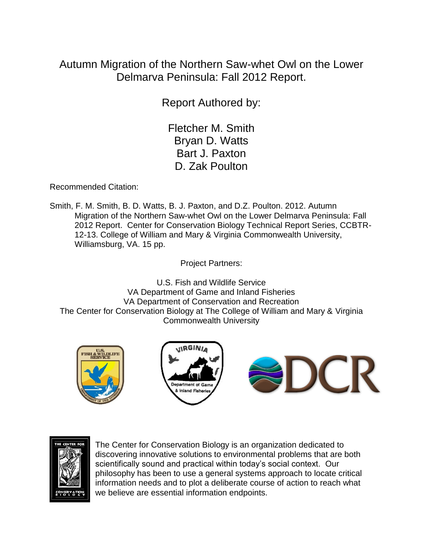Autumn Migration of the Northern Saw-whet Owl on the Lower Delmarva Peninsula: Fall 2012 Report.

Report Authored by:

Fletcher M. Smith Bryan D. Watts Bart J. Paxton D. Zak Poulton

Recommended Citation:

Smith, F. M. Smith, B. D. Watts, B. J. Paxton, and D.Z. Poulton. 2012. Autumn Migration of the Northern Saw-whet Owl on the Lower Delmarva Peninsula: Fall 2012 Report. Center for Conservation Biology Technical Report Series, CCBTR-12-13. College of William and Mary & Virginia Commonwealth University, Williamsburg, VA. 15 pp.

Project Partners:

U.S. Fish and Wildlife Service VA Department of Game and Inland Fisheries VA Department of Conservation and Recreation The Center for Conservation Biology at The College of William and Mary & Virginia Commonwealth University





The Center for Conservation Biology is an organization dedicated to discovering innovative solutions to environmental problems that are both scientifically sound and practical within today's social context. Our philosophy has been to use a general systems approach to locate critical information needs and to plot a deliberate course of action to reach what we believe are essential information endpoints.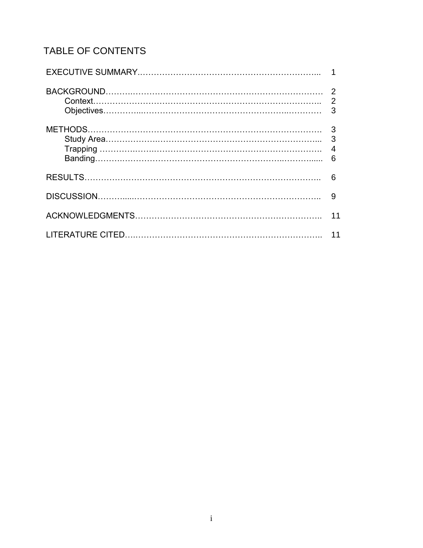## TABLE OF CONTENTS

| $Context$ $2$ |                     |
|---------------|---------------------|
|               | $\overline{4}$<br>6 |
|               | 6                   |
|               |                     |
|               | 11                  |
|               |                     |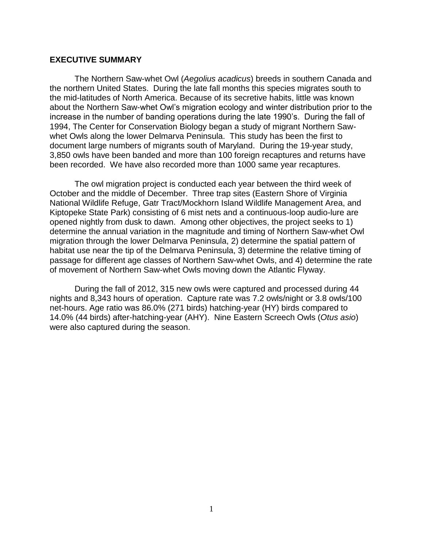#### **EXECUTIVE SUMMARY**

The Northern Saw-whet Owl (*Aegolius acadicus*) breeds in southern Canada and the northern United States. During the late fall months this species migrates south to the mid-latitudes of North America. Because of its secretive habits, little was known about the Northern Saw-whet Owl's migration ecology and winter distribution prior to the increase in the number of banding operations during the late 1990's. During the fall of 1994, The Center for Conservation Biology began a study of migrant Northern Sawwhet Owls along the lower Delmarva Peninsula. This study has been the first to document large numbers of migrants south of Maryland. During the 19-year study, 3,850 owls have been banded and more than 100 foreign recaptures and returns have been recorded. We have also recorded more than 1000 same year recaptures.

The owl migration project is conducted each year between the third week of October and the middle of December. Three trap sites (Eastern Shore of Virginia National Wildlife Refuge, Gatr Tract/Mockhorn Island Wildlife Management Area, and Kiptopeke State Park) consisting of 6 mist nets and a continuous-loop audio-lure are opened nightly from dusk to dawn. Among other objectives, the project seeks to 1) determine the annual variation in the magnitude and timing of Northern Saw-whet Owl migration through the lower Delmarva Peninsula, 2) determine the spatial pattern of habitat use near the tip of the Delmarva Peninsula, 3) determine the relative timing of passage for different age classes of Northern Saw-whet Owls, and 4) determine the rate of movement of Northern Saw-whet Owls moving down the Atlantic Flyway.

During the fall of 2012, 315 new owls were captured and processed during 44 nights and 8,343 hours of operation. Capture rate was 7.2 owls/night or 3.8 owls/100 net-hours. Age ratio was 86.0% (271 birds) hatching-year (HY) birds compared to 14.0% (44 birds) after-hatching-year (AHY). Nine Eastern Screech Owls (*Otus asio*) were also captured during the season.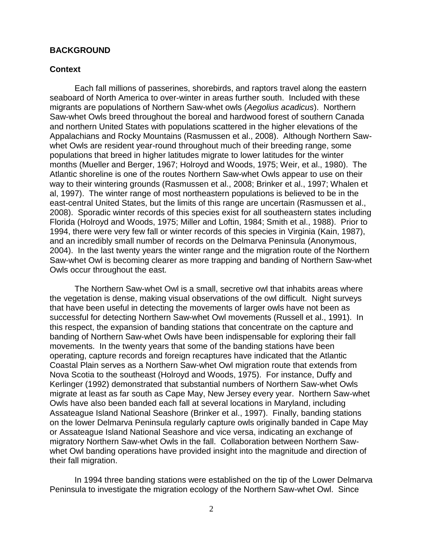#### **BACKGROUND**

#### **Context**

Each fall millions of passerines, shorebirds, and raptors travel along the eastern seaboard of North America to over-winter in areas further south. Included with these migrants are populations of Northern Saw-whet owls (*Aegolius acadicus*). Northern Saw-whet Owls breed throughout the boreal and hardwood forest of southern Canada and northern United States with populations scattered in the higher elevations of the Appalachians and Rocky Mountains (Rasmussen et al., 2008). Although Northern Sawwhet Owls are resident year-round throughout much of their breeding range, some populations that breed in higher latitudes migrate to lower latitudes for the winter months (Mueller and Berger, 1967; Holroyd and Woods, 1975; Weir, et al., 1980). The Atlantic shoreline is one of the routes Northern Saw-whet Owls appear to use on their way to their wintering grounds (Rasmussen et al., 2008; Brinker et al., 1997; Whalen et al, 1997). The winter range of most northeastern populations is believed to be in the east-central United States, but the limits of this range are uncertain (Rasmussen et al., 2008). Sporadic winter records of this species exist for all southeastern states including Florida (Holroyd and Woods, 1975; Miller and Loftin, 1984; Smith et al., 1988). Prior to 1994, there were very few fall or winter records of this species in Virginia (Kain, 1987), and an incredibly small number of records on the Delmarva Peninsula (Anonymous, 2004). In the last twenty years the winter range and the migration route of the Northern Saw-whet Owl is becoming clearer as more trapping and banding of Northern Saw-whet Owls occur throughout the east.

The Northern Saw-whet Owl is a small, secretive owl that inhabits areas where the vegetation is dense, making visual observations of the owl difficult. Night surveys that have been useful in detecting the movements of larger owls have not been as successful for detecting Northern Saw-whet Owl movements (Russell et al., 1991). In this respect, the expansion of banding stations that concentrate on the capture and banding of Northern Saw-whet Owls have been indispensable for exploring their fall movements. In the twenty years that some of the banding stations have been operating, capture records and foreign recaptures have indicated that the Atlantic Coastal Plain serves as a Northern Saw-whet Owl migration route that extends from Nova Scotia to the southeast (Holroyd and Woods, 1975). For instance, Duffy and Kerlinger (1992) demonstrated that substantial numbers of Northern Saw-whet Owls migrate at least as far south as Cape May, New Jersey every year. Northern Saw-whet Owls have also been banded each fall at several locations in Maryland, including Assateague Island National Seashore (Brinker et al., 1997). Finally, banding stations on the lower Delmarva Peninsula regularly capture owls originally banded in Cape May or Assateague Island National Seashore and vice versa, indicating an exchange of migratory Northern Saw-whet Owls in the fall. Collaboration between Northern Sawwhet Owl banding operations have provided insight into the magnitude and direction of their fall migration.

In 1994 three banding stations were established on the tip of the Lower Delmarva Peninsula to investigate the migration ecology of the Northern Saw-whet Owl. Since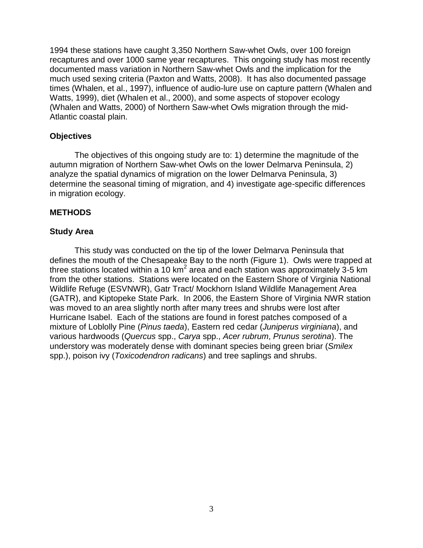1994 these stations have caught 3,350 Northern Saw-whet Owls, over 100 foreign recaptures and over 1000 same year recaptures. This ongoing study has most recently documented mass variation in Northern Saw-whet Owls and the implication for the much used sexing criteria (Paxton and Watts, 2008). It has also documented passage times (Whalen, et al., 1997), influence of audio-lure use on capture pattern (Whalen and Watts, 1999), diet (Whalen et al., 2000), and some aspects of stopover ecology (Whalen and Watts, 2000) of Northern Saw-whet Owls migration through the mid-Atlantic coastal plain.

#### **Objectives**

The objectives of this ongoing study are to: 1) determine the magnitude of the autumn migration of Northern Saw-whet Owls on the lower Delmarva Peninsula, 2) analyze the spatial dynamics of migration on the lower Delmarva Peninsula, 3) determine the seasonal timing of migration, and 4) investigate age-specific differences in migration ecology.

#### **METHODS**

#### **Study Area**

This study was conducted on the tip of the lower Delmarva Peninsula that defines the mouth of the Chesapeake Bay to the north (Figure 1). Owls were trapped at three stations located within a 10 km<sup>2</sup> area and each station was approximately 3-5 km from the other stations. Stations were located on the Eastern Shore of Virginia National Wildlife Refuge (ESVNWR), Gatr Tract/ Mockhorn Island Wildlife Management Area (GATR), and Kiptopeke State Park. In 2006, the Eastern Shore of Virginia NWR station was moved to an area slightly north after many trees and shrubs were lost after Hurricane Isabel. Each of the stations are found in forest patches composed of a mixture of Loblolly Pine (*Pinus taeda*), Eastern red cedar (*Juniperus virginiana*), and various hardwoods (*Quercus* spp., *Carya* spp., *Acer rubrum*, *Prunus serotina*). The understory was moderately dense with dominant species being green briar (*Smilex* spp.), poison ivy (*Toxicodendron radicans*) and tree saplings and shrubs.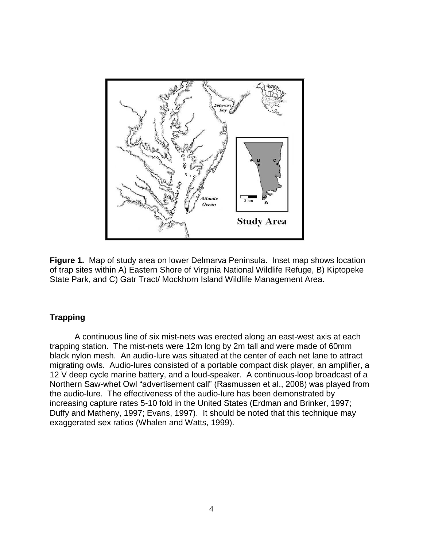

**Figure 1.** Map of study area on lower Delmarva Peninsula. Inset map shows location of trap sites within A) Eastern Shore of Virginia National Wildlife Refuge, B) Kiptopeke State Park, and C) Gatr Tract/ Mockhorn Island Wildlife Management Area.

## **Trapping**

A continuous line of six mist-nets was erected along an east-west axis at each trapping station. The mist-nets were 12m long by 2m tall and were made of 60mm black nylon mesh. An audio-lure was situated at the center of each net lane to attract migrating owls. Audio-lures consisted of a portable compact disk player, an amplifier, a 12 V deep cycle marine battery, and a loud-speaker. A continuous-loop broadcast of a Northern Saw-whet Owl "advertisement call" (Rasmussen et al., 2008) was played from the audio-lure. The effectiveness of the audio-lure has been demonstrated by increasing capture rates 5-10 fold in the United States (Erdman and Brinker, 1997; Duffy and Matheny, 1997; Evans, 1997). It should be noted that this technique may exaggerated sex ratios (Whalen and Watts, 1999).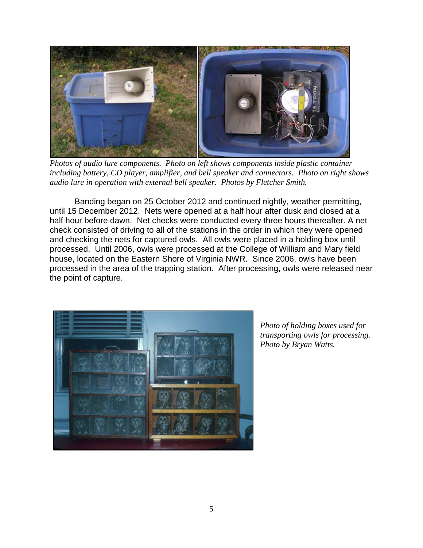

*Photos of audio lure components. Photo on left shows components inside plastic container including battery, CD player, amplifier, and bell speaker and connectors. Photo on right shows audio lure in operation with external bell speaker. Photos by Fletcher Smith.*

Banding began on 25 October 2012 and continued nightly, weather permitting, until 15 December 2012. Nets were opened at a half hour after dusk and closed at a half hour before dawn. Net checks were conducted every three hours thereafter. A net check consisted of driving to all of the stations in the order in which they were opened and checking the nets for captured owls. All owls were placed in a holding box until processed. Until 2006, owls were processed at the College of William and Mary field house, located on the Eastern Shore of Virginia NWR. Since 2006, owls have been processed in the area of the trapping station. After processing, owls were released near the point of capture.



*Photo of holding boxes used for transporting owls for processing. Photo by Bryan Watts.*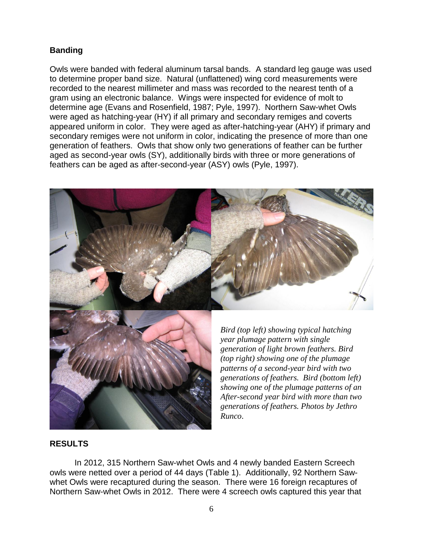## **Banding**

Owls were banded with federal aluminum tarsal bands. A standard leg gauge was used to determine proper band size. Natural (unflattened) wing cord measurements were recorded to the nearest millimeter and mass was recorded to the nearest tenth of a gram using an electronic balance. Wings were inspected for evidence of molt to determine age (Evans and Rosenfield, 1987; Pyle, 1997). Northern Saw-whet Owls were aged as hatching-year (HY) if all primary and secondary remiges and coverts appeared uniform in color. They were aged as after-hatching-year (AHY) if primary and secondary remiges were not uniform in color, indicating the presence of more than one generation of feathers. Owls that show only two generations of feather can be further aged as second-year owls (SY), additionally birds with three or more generations of feathers can be aged as after-second-year (ASY) owls (Pyle, 1997).



## **RESULTS**

In 2012, 315 Northern Saw-whet Owls and 4 newly banded Eastern Screech owls were netted over a period of 44 days (Table 1). Additionally, 92 Northern Sawwhet Owls were recaptured during the season. There were 16 foreign recaptures of Northern Saw-whet Owls in 2012. There were 4 screech owls captured this year that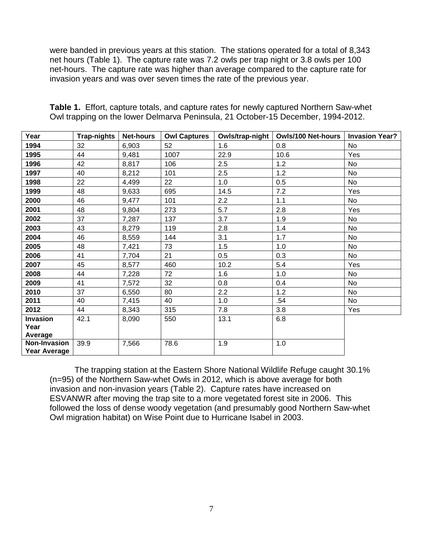were banded in previous years at this station. The stations operated for a total of 8,343 net hours (Table 1). The capture rate was 7.2 owls per trap night or 3.8 owls per 100 net-hours. The capture rate was higher than average compared to the capture rate for invasion years and was over seven times the rate of the previous year.

| Year                                       | <b>Trap-nights</b> | <b>Net-hours</b> | <b>Owl Captures</b> | Owls/trap-night | <b>Owls/100 Net-hours</b> | <b>Invasion Year?</b> |
|--------------------------------------------|--------------------|------------------|---------------------|-----------------|---------------------------|-----------------------|
| 1994                                       | 32                 | 6,903            | 52                  | 1.6             | 0.8                       | No                    |
| 1995                                       | 44                 | 9,481            | 1007                | 22.9            | 10.6                      | Yes                   |
| 1996                                       | 42                 | 8,817            | 106                 | 2.5             | 1.2                       | <b>No</b>             |
| 1997                                       | 40                 | 8,212            | 101                 | 2.5             | 1.2                       | No                    |
| 1998                                       | 22                 | 4,499            | 22                  | 1.0             | 0.5                       | No                    |
| 1999                                       | 48                 | 9,633            | 695                 | 14.5            | 7.2                       | Yes                   |
| 2000                                       | 46                 | 9,477            | 101                 | 2.2             | 1.1                       | No                    |
| 2001                                       | 48                 | 9,804            | 273                 | 5.7             | 2.8                       | Yes                   |
| 2002                                       | 37                 | 7,287            | 137                 | 3.7             | 1.9                       | No                    |
| 2003                                       | 43                 | 8,279            | 119                 | 2.8             | 1.4                       | <b>No</b>             |
| 2004                                       | 46                 | 8,559            | 144                 | 3.1             | 1.7                       | <b>No</b>             |
| 2005                                       | 48                 | 7,421            | 73                  | 1.5             | 1.0                       | No                    |
| 2006                                       | 41                 | 7,704            | 21                  | 0.5             | 0.3                       | No                    |
| 2007                                       | 45                 | 8,577            | 460                 | 10.2            | 5.4                       | Yes                   |
| 2008                                       | 44                 | 7,228            | 72                  | 1.6             | 1.0                       | <b>No</b>             |
| 2009                                       | 41                 | 7,572            | 32                  | 0.8             | 0.4                       | No                    |
| 2010                                       | 37                 | 6,550            | 80                  | 2.2             | 1.2                       | No                    |
| 2011                                       | 40                 | 7,415            | 40                  | 1.0             | .54                       | No                    |
| 2012                                       | 44                 | 8,343            | 315                 | 7.8             | 3.8                       | Yes                   |
| Invasion                                   | 42.1               | 8,090            | 550                 | 13.1            | 6.8                       |                       |
| Year                                       |                    |                  |                     |                 |                           |                       |
| Average                                    |                    |                  |                     |                 |                           |                       |
| <b>Non-Invasion</b><br><b>Year Average</b> | 39.9               | 7,566            | 78.6                | 1.9             | 1.0                       |                       |

**Table 1.** Effort, capture totals, and capture rates for newly captured Northern Saw-whet Owl trapping on the lower Delmarva Peninsula, 21 October-15 December, 1994-2012.

The trapping station at the Eastern Shore National Wildlife Refuge caught 30.1% (n=95) of the Northern Saw-whet Owls in 2012, which is above average for both invasion and non-invasion years (Table 2). Capture rates have increased on ESVANWR after moving the trap site to a more vegetated forest site in 2006. This followed the loss of dense woody vegetation (and presumably good Northern Saw-whet Owl migration habitat) on Wise Point due to Hurricane Isabel in 2003.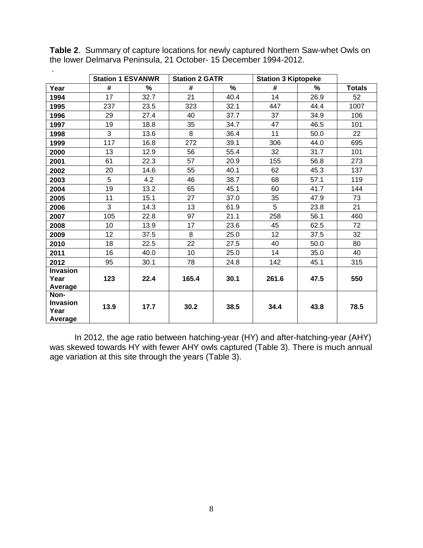|                         | <b>Station 1 ESVANWR</b> |      | <b>Station 2 GATR</b> |      | <b>Station 3 Kiptopeke</b> |      |               |
|-------------------------|--------------------------|------|-----------------------|------|----------------------------|------|---------------|
| Year                    | #                        | %    | #                     | $\%$ | #                          | %    | <b>Totals</b> |
| 1994                    | 17                       | 32.7 | 21                    | 40.4 | 14                         | 26.9 | 52            |
| 1995                    | 237                      | 23.5 | 323                   | 32.1 | 447                        | 44.4 | 1007          |
| 1996                    | 29                       | 27.4 | 40                    | 37.7 | 37                         | 34.9 | 106           |
| 1997                    | 19                       | 18.8 | 35                    | 34.7 | 47                         | 46.5 | 101           |
| 1998                    | 3                        | 13.6 | 8                     | 36.4 | 11                         | 50.0 | 22            |
| 1999                    | 117                      | 16.8 | 272                   | 39.1 | 306                        | 44.0 | 695           |
| 2000                    | 13                       | 12.9 | 56                    | 55.4 | 32                         | 31.7 | 101           |
| 2001                    | 61                       | 22.3 | 57                    | 20.9 | 155                        | 56.8 | 273           |
| 2002                    | 20                       | 14.6 | 55                    | 40.1 | 62                         | 45.3 | 137           |
| 2003                    | 5                        | 4.2  | 46                    | 38.7 | 68                         | 57.1 | 119           |
| 2004                    | 19                       | 13.2 | 65                    | 45.1 | 60                         | 41.7 | 144           |
| 2005                    | 11                       | 15.1 | 27                    | 37.0 | 35                         | 47.9 | 73            |
| 2006                    | 3                        | 14.3 | 13                    | 61.9 | 5                          | 23.8 | 21            |
| 2007                    | 105                      | 22.8 | 97                    | 21.1 | 258                        | 56.1 | 460           |
| 2008                    | 10                       | 13.9 | 17                    | 23.6 | 45                         | 62.5 | 72            |
| 2009                    | 12                       | 37.5 | 8                     | 25.0 | 12                         | 37.5 | 32            |
| 2010                    | 18                       | 22.5 | 22                    | 27.5 | 40                         | 50.0 | 80            |
| 2011                    | 16                       | 40.0 | 10                    | 25.0 | 14                         | 35.0 | 40            |
| 2012                    | 95                       | 30.1 | 78                    | 24.8 | 142                        | 45.1 | 315           |
| <b>Invasion</b>         |                          |      |                       |      |                            |      |               |
| Year                    | 123                      | 22.4 | 165.4                 | 30.1 | 261.6                      | 47.5 | 550           |
| Average                 |                          |      |                       |      |                            |      |               |
| Non-                    |                          |      |                       |      |                            |      |               |
| <b>Invasion</b><br>Year | 13.9                     | 17.7 | 30.2                  | 38.5 | 34.4                       | 43.8 | 78.5          |
| Average                 |                          |      |                       |      |                            |      |               |

**Table 2**. Summary of capture locations for newly captured Northern Saw-whet Owls on the lower Delmarva Peninsula, 21 October- 15 December 1994-2012.

In 2012, the age ratio between hatching-year (HY) and after-hatching-year (AHY) was skewed towards HY with fewer AHY owls captured (Table 3). There is much annual age variation at this site through the years (Table 3).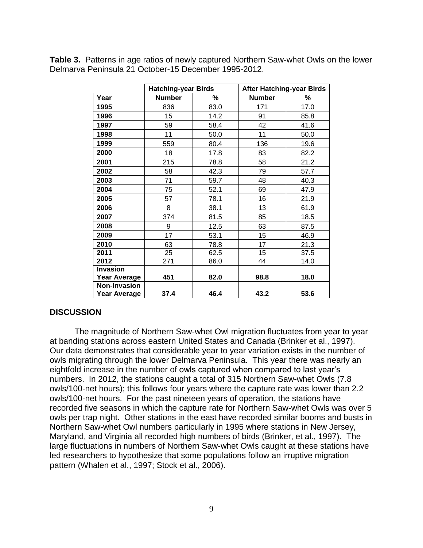|                     | <b>Hatching-year Birds</b> |      | <b>After Hatching-year Birds</b> |      |  |
|---------------------|----------------------------|------|----------------------------------|------|--|
| Year                | <b>Number</b>              | %    | <b>Number</b>                    | %    |  |
| 1995                | 836                        | 83.0 | 171                              | 17.0 |  |
| 1996                | 15                         | 14.2 | 91                               | 85.8 |  |
| 1997                | 59                         | 58.4 | 42                               | 41.6 |  |
| 1998                | 11                         | 50.0 | 11                               | 50.0 |  |
| 1999                | 559                        | 80.4 | 136                              | 19.6 |  |
| 2000                | 18                         | 17.8 | 83                               | 82.2 |  |
| 2001                | 215                        | 78.8 | 58                               | 21.2 |  |
| 2002                | 58                         | 42.3 | 79                               | 57.7 |  |
| 2003                | 71                         | 59.7 | 48                               | 40.3 |  |
| 2004                | 75                         | 52.1 | 69                               | 47.9 |  |
| 2005                | 57                         | 78.1 | 16                               | 21.9 |  |
| 2006                | 8                          | 38.1 | 13                               | 61.9 |  |
| 2007                | 374                        | 81.5 | 85                               | 18.5 |  |
| 2008                | 9                          | 12.5 | 63                               | 87.5 |  |
| 2009                | 17                         | 53.1 | 15                               | 46.9 |  |
| 2010                | 63                         | 78.8 | 17                               | 21.3 |  |
| 2011                | 25                         | 62.5 | 15                               | 37.5 |  |
| 2012                | 271                        | 86.0 | 44                               | 14.0 |  |
| <b>Invasion</b>     |                            |      |                                  |      |  |
| Year Average        | 451                        | 82.0 | 98.8                             | 18.0 |  |
| <b>Non-Invasion</b> |                            |      |                                  |      |  |
| <b>Year Average</b> | 37.4                       | 46.4 | 43.2                             | 53.6 |  |

**Table 3.** Patterns in age ratios of newly captured Northern Saw-whet Owls on the lower Delmarva Peninsula 21 October-15 December 1995-2012.

## **DISCUSSION**

The magnitude of Northern Saw-whet Owl migration fluctuates from year to year at banding stations across eastern United States and Canada (Brinker et al., 1997). Our data demonstrates that considerable year to year variation exists in the number of owls migrating through the lower Delmarva Peninsula. This year there was nearly an eightfold increase in the number of owls captured when compared to last year's numbers. In 2012, the stations caught a total of 315 Northern Saw-whet Owls (7.8 owls/100-net hours); this follows four years where the capture rate was lower than 2.2 owls/100-net hours. For the past nineteen years of operation, the stations have recorded five seasons in which the capture rate for Northern Saw-whet Owls was over 5 owls per trap night. Other stations in the east have recorded similar booms and busts in Northern Saw-whet Owl numbers particularly in 1995 where stations in New Jersey, Maryland, and Virginia all recorded high numbers of birds (Brinker, et al., 1997). The large fluctuations in numbers of Northern Saw-whet Owls caught at these stations have led researchers to hypothesize that some populations follow an irruptive migration pattern (Whalen et al., 1997; Stock et al., 2006).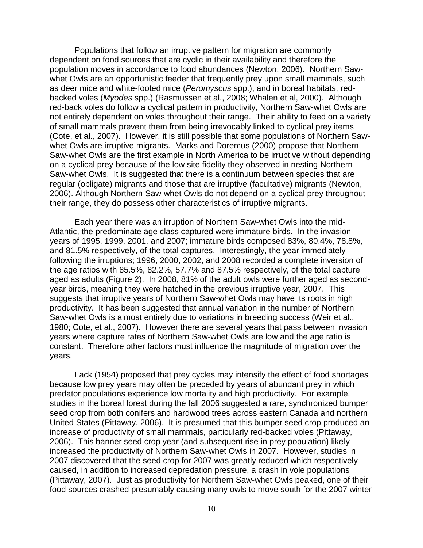Populations that follow an irruptive pattern for migration are commonly dependent on food sources that are cyclic in their availability and therefore the population moves in accordance to food abundances (Newton, 2006). Northern Sawwhet Owls are an opportunistic feeder that frequently prey upon small mammals, such as deer mice and white-footed mice (*Peromyscus* spp.), and in boreal habitats, redbacked voles (*Myodes* spp.) (Rasmussen et al., 2008; Whalen et al, 2000). Although red-back voles do follow a cyclical pattern in productivity, Northern Saw-whet Owls are not entirely dependent on voles throughout their range. Their ability to feed on a variety of small mammals prevent them from being irrevocably linked to cyclical prey items (Cote, et al., 2007). However, it is still possible that some populations of Northern Sawwhet Owls are irruptive migrants. Marks and Doremus (2000) propose that Northern Saw-whet Owls are the first example in North America to be irruptive without depending on a cyclical prey because of the low site fidelity they observed in nesting Northern Saw-whet Owls. It is suggested that there is a continuum between species that are regular (obligate) migrants and those that are irruptive (facultative) migrants (Newton, 2006). Although Northern Saw-whet Owls do not depend on a cyclical prey throughout their range, they do possess other characteristics of irruptive migrants.

Each year there was an irruption of Northern Saw-whet Owls into the mid-Atlantic, the predominate age class captured were immature birds. In the invasion years of 1995, 1999, 2001, and 2007; immature birds composed 83%, 80.4%, 78.8%, and 81.5% respectively, of the total captures. Interestingly, the year immediately following the irruptions; 1996, 2000, 2002, and 2008 recorded a complete inversion of the age ratios with 85.5%, 82.2%, 57.7% and 87.5% respectively, of the total capture aged as adults (Figure 2). In 2008, 81% of the adult owls were further aged as secondyear birds, meaning they were hatched in the previous irruptive year, 2007. This suggests that irruptive years of Northern Saw-whet Owls may have its roots in high productivity. It has been suggested that annual variation in the number of Northern Saw-whet Owls is almost entirely due to variations in breeding success (Weir et al., 1980; Cote, et al., 2007). However there are several years that pass between invasion years where capture rates of Northern Saw-whet Owls are low and the age ratio is constant. Therefore other factors must influence the magnitude of migration over the years.

Lack (1954) proposed that prey cycles may intensify the effect of food shortages because low prey years may often be preceded by years of abundant prey in which predator populations experience low mortality and high productivity. For example, studies in the boreal forest during the fall 2006 suggested a rare, synchronized bumper seed crop from both conifers and hardwood trees across eastern Canada and northern United States (Pittaway, 2006). It is presumed that this bumper seed crop produced an increase of productivity of small mammals, particularly red-backed voles (Pittaway, 2006). This banner seed crop year (and subsequent rise in prey population) likely increased the productivity of Northern Saw-whet Owls in 2007. However, studies in 2007 discovered that the seed crop for 2007 was greatly reduced which respectively caused, in addition to increased depredation pressure, a crash in vole populations (Pittaway, 2007). Just as productivity for Northern Saw-whet Owls peaked, one of their food sources crashed presumably causing many owls to move south for the 2007 winter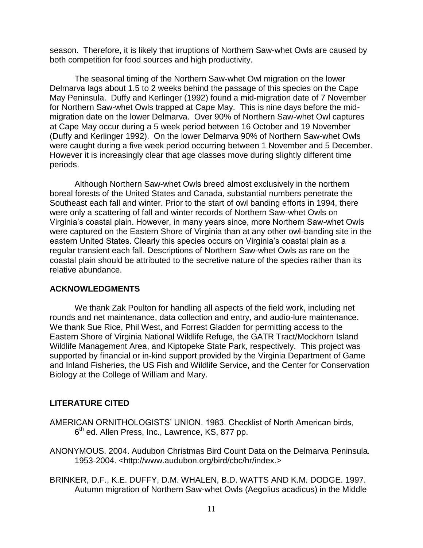season. Therefore, it is likely that irruptions of Northern Saw-whet Owls are caused by both competition for food sources and high productivity.

The seasonal timing of the Northern Saw-whet Owl migration on the lower Delmarva lags about 1.5 to 2 weeks behind the passage of this species on the Cape May Peninsula. Duffy and Kerlinger (1992) found a mid-migration date of 7 November for Northern Saw-whet Owls trapped at Cape May. This is nine days before the midmigration date on the lower Delmarva. Over 90% of Northern Saw-whet Owl captures at Cape May occur during a 5 week period between 16 October and 19 November (Duffy and Kerlinger 1992). On the lower Delmarva 90% of Northern Saw-whet Owls were caught during a five week period occurring between 1 November and 5 December. However it is increasingly clear that age classes move during slightly different time periods.

Although Northern Saw-whet Owls breed almost exclusively in the northern boreal forests of the United States and Canada, substantial numbers penetrate the Southeast each fall and winter. Prior to the start of owl banding efforts in 1994, there were only a scattering of fall and winter records of Northern Saw-whet Owls on Virginia's coastal plain. However, in many years since, more Northern Saw-whet Owls were captured on the Eastern Shore of Virginia than at any other owl-banding site in the eastern United States. Clearly this species occurs on Virginia's coastal plain as a regular transient each fall. Descriptions of Northern Saw-whet Owls as rare on the coastal plain should be attributed to the secretive nature of the species rather than its relative abundance.

#### **ACKNOWLEDGMENTS**

We thank Zak Poulton for handling all aspects of the field work, including net rounds and net maintenance, data collection and entry, and audio-lure maintenance. We thank Sue Rice, Phil West, and Forrest Gladden for permitting access to the Eastern Shore of Virginia National Wildlife Refuge, the GATR Tract/Mockhorn Island Wildlife Management Area, and Kiptopeke State Park, respectively. This project was supported by financial or in-kind support provided by the Virginia Department of Game and Inland Fisheries, the US Fish and Wildlife Service, and the Center for Conservation Biology at the College of William and Mary.

### **LITERATURE CITED**

- AMERICAN ORNITHOLOGISTS' UNION. 1983. Checklist of North American birds, 6<sup>th</sup> ed. Allen Press, Inc., Lawrence, KS, 877 pp.
- ANONYMOUS. 2004. Audubon Christmas Bird Count Data on the Delmarva Peninsula. 1953-2004. <http://www.audubon.org/bird/cbc/hr/index.>
- BRINKER, D.F., K.E. DUFFY, D.M. WHALEN, B.D. WATTS AND K.M. DODGE. 1997. Autumn migration of Northern Saw-whet Owls (Aegolius acadicus) in the Middle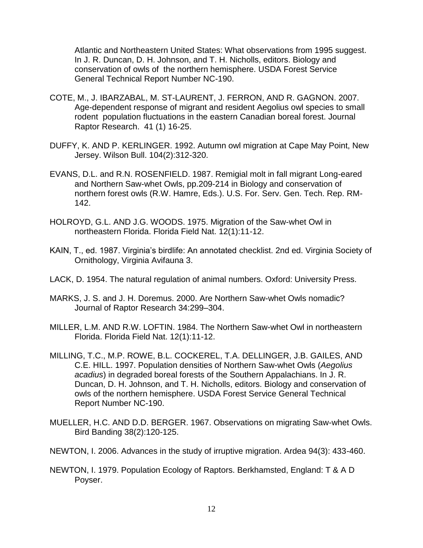Atlantic and Northeastern United States: What observations from 1995 suggest. In J. R. Duncan, D. H. Johnson, and T. H. Nicholls, editors. Biology and conservation of owls of the northern hemisphere. USDA Forest Service General Technical Report Number NC-190.

- COTE, M., J. IBARZABAL, M. ST-LAURENT, J. FERRON, AND R. GAGNON. 2007. Age-dependent response of migrant and resident Aegolius owl species to small rodent population fluctuations in the eastern Canadian boreal forest. Journal Raptor Research. 41 (1) 16-25.
- DUFFY, K. AND P. KERLINGER. 1992. Autumn owl migration at Cape May Point, New Jersey. Wilson Bull. 104(2):312-320.
- EVANS, D.L. and R.N. ROSENFIELD. 1987. Remigial molt in fall migrant Long-eared and Northern Saw-whet Owls, pp.209-214 in Biology and conservation of northern forest owls (R.W. Hamre, Eds.). U.S. For. Serv. Gen. Tech. Rep. RM-142.
- HOLROYD, G.L. AND J.G. WOODS. 1975. Migration of the Saw-whet Owl in northeastern Florida. Florida Field Nat. 12(1):11-12.
- KAIN, T., ed. 1987. Virginia's birdlife: An annotated checklist. 2nd ed. Virginia Society of Ornithology, Virginia Avifauna 3.
- LACK, D. 1954. The natural regulation of animal numbers. Oxford: University Press.
- MARKS, J. S. and J. H. Doremus. 2000. Are Northern Saw-whet Owls nomadic? Journal of Raptor Research 34:299–304.
- MILLER, L.M. AND R.W. LOFTIN. 1984. The Northern Saw-whet Owl in northeastern Florida. Florida Field Nat. 12(1):11-12.
- MILLING, T.C., M.P. ROWE, B.L. COCKEREL, T.A. DELLINGER, J.B. GAILES, AND C.E. HILL. 1997. Population densities of Northern Saw-whet Owls (*Aegolius acadius*) in degraded boreal forests of the Southern Appalachians. In J. R. Duncan, D. H. Johnson, and T. H. Nicholls, editors. Biology and conservation of owls of the northern hemisphere. USDA Forest Service General Technical Report Number NC-190.
- MUELLER, H.C. AND D.D. BERGER. 1967. Observations on migrating Saw-whet Owls. Bird Banding 38(2):120-125.
- NEWTON, I. 2006. Advances in the study of irruptive migration. Ardea 94(3): 433-460.
- NEWTON, I. 1979. Population Ecology of Raptors. Berkhamsted, England: T & A D Poyser.